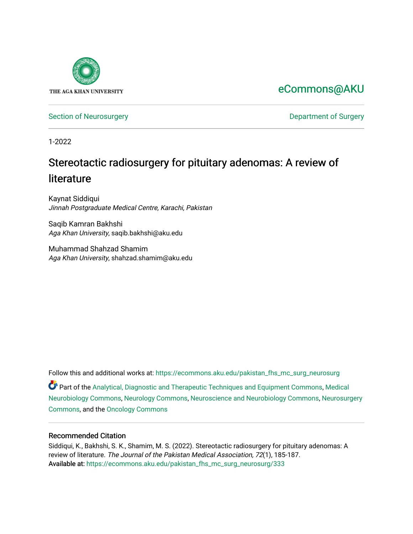

[eCommons@AKU](https://ecommons.aku.edu/) 

[Section of Neurosurgery](https://ecommons.aku.edu/pakistan_fhs_mc_surg_neurosurg) **Department of Surgery** Department of Surgery

1-2022

# Stereotactic radiosurgery for pituitary adenomas: A review of literature

Kaynat Siddiqui Jinnah Postgraduate Medical Centre, Karachi, Pakistan

Saqib Kamran Bakhshi Aga Khan University, saqib.bakhshi@aku.edu

Muhammad Shahzad Shamim Aga Khan University, shahzad.shamim@aku.edu

Follow this and additional works at: [https://ecommons.aku.edu/pakistan\\_fhs\\_mc\\_surg\\_neurosurg](https://ecommons.aku.edu/pakistan_fhs_mc_surg_neurosurg?utm_source=ecommons.aku.edu%2Fpakistan_fhs_mc_surg_neurosurg%2F333&utm_medium=PDF&utm_campaign=PDFCoverPages) 

Part of the [Analytical, Diagnostic and Therapeutic Techniques and Equipment Commons](http://network.bepress.com/hgg/discipline/899?utm_source=ecommons.aku.edu%2Fpakistan_fhs_mc_surg_neurosurg%2F333&utm_medium=PDF&utm_campaign=PDFCoverPages), [Medical](http://network.bepress.com/hgg/discipline/674?utm_source=ecommons.aku.edu%2Fpakistan_fhs_mc_surg_neurosurg%2F333&utm_medium=PDF&utm_campaign=PDFCoverPages)  [Neurobiology Commons,](http://network.bepress.com/hgg/discipline/674?utm_source=ecommons.aku.edu%2Fpakistan_fhs_mc_surg_neurosurg%2F333&utm_medium=PDF&utm_campaign=PDFCoverPages) [Neurology Commons](http://network.bepress.com/hgg/discipline/692?utm_source=ecommons.aku.edu%2Fpakistan_fhs_mc_surg_neurosurg%2F333&utm_medium=PDF&utm_campaign=PDFCoverPages), [Neuroscience and Neurobiology Commons,](http://network.bepress.com/hgg/discipline/55?utm_source=ecommons.aku.edu%2Fpakistan_fhs_mc_surg_neurosurg%2F333&utm_medium=PDF&utm_campaign=PDFCoverPages) [Neurosurgery](http://network.bepress.com/hgg/discipline/1428?utm_source=ecommons.aku.edu%2Fpakistan_fhs_mc_surg_neurosurg%2F333&utm_medium=PDF&utm_campaign=PDFCoverPages) [Commons](http://network.bepress.com/hgg/discipline/1428?utm_source=ecommons.aku.edu%2Fpakistan_fhs_mc_surg_neurosurg%2F333&utm_medium=PDF&utm_campaign=PDFCoverPages), and the [Oncology Commons](http://network.bepress.com/hgg/discipline/694?utm_source=ecommons.aku.edu%2Fpakistan_fhs_mc_surg_neurosurg%2F333&utm_medium=PDF&utm_campaign=PDFCoverPages) 

# Recommended Citation

Siddiqui, K., Bakhshi, S. K., Shamim, M. S. (2022). Stereotactic radiosurgery for pituitary adenomas: A review of literature. The Journal of the Pakistan Medical Association, 72(1), 185-187. Available at: [https://ecommons.aku.edu/pakistan\\_fhs\\_mc\\_surg\\_neurosurg/333](https://ecommons.aku.edu/pakistan_fhs_mc_surg_neurosurg/333)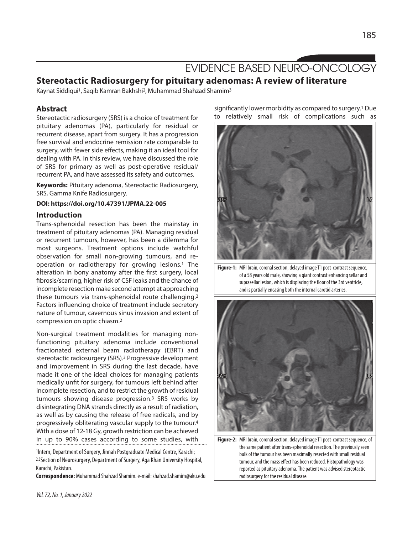# EVIDENCE BASED NEURO-ONCOLOGY

# **Stereotactic Radiosurgery for pituitary adenomas: A review of literature**

Kaynat Siddiqui<sup>1</sup>, Saqib Kamran Bakhshi<sup>2</sup>, Muhammad Shahzad Shamim<sup>3</sup>

## **Abstract**

Stereotactic radiosurgery (SRS) is a choice of treatment for pituitary adenomas (PA), particularly for residual or recurrent disease, apart from surgery. It has a progression free survival and endocrine remission rate comparable to surgery, with fewer side effects, making it an ideal tool for dealing with PA. In this review, we have discussed the role of SRS for primary as well as post-operative residual/ recurrent PA, and have assessed its safety and outcomes.

**Keywords:** Pituitary adenoma, Stereotactic Radiosurgery, SRS, Gamma Knife Radiosurgery.

#### **DOI: https://doi.org/10.47391/JPMA.22-005**

#### **Introduction**

Trans-sphenoidal resection has been the mainstay in treatment of pituitary adenomas (PA). Managing residual or recurrent tumours, however, has been a dilemma for most surgeons. Treatment options include watchful observation for small non-growing tumours, and reoperation or radiotherapy for growing lesions.1 The alteration in bony anatomy after the first surgery, local fibrosis/scarring, higher risk of CSF leaks and the chance of incomplete resection make second attempt at approaching these tumours via trans-sphenoidal route challenging.2 Factors influencing choice of treatment include secretory nature of tumour, cavernous sinus invasion and extent of compression on optic chiasm. 2

Non-surgical treatment modalities for managing nonfunctioning pituitary adenoma include conventional fractionated external beam radiotherapy (EBRT) and stereotactic radiosurgery (SRS). <sup>3</sup> Progressive development and improvement in SRS during the last decade, have made it one of the ideal choices for managing patients medically unfit for surgery, for tumours left behind after incomplete resection, and to restrict the growth of residual tumours showing disease progression.3 SRS works by disintegrating DNA strands directly as a result of radiation, as well as by causing the release of free radicals, and by progressively obliterating vascular supply to the tumour. 4 With a dose of 12-18 Gy, growth restriction can be achieved in up to 90% cases according to some studies, with

<sup>1</sup>Intern, Department of Surgery, Jinnah Postgraduate Medical Centre, Karachi; 2,3Section of Neurosurgery, Department of Surgery, Aga Khan University Hospital, Karachi, Pakistan.

Correspondence: Muhammad Shahzad Shamim. e-mail: shahzad.shamim@aku.edu

significantly lower morbidity as compared to surgery. <sup>1</sup> Due to relatively small risk of complications such as



Figure-1: MRI brain, coronal section, delayed image T1 post-contrast sequence, of a 58 years old male, showing a giant contrast enhancing sellar and suprasellar lesion, which is displacing the floor of the 3rd ventricle, and is partially encasing both the internal carotid arteries.



Figure-2: MRI brain, coronal section, delayed image T1 post-contrast sequence, of the same patient after trans-sphenoidal resection. The previously seen bulk of the tumour has been maximally resected with small residual tumour, and the mass effect has been reduced. Histopathology was reported as pituitary adenoma. The patient was advised stereotactic radiosurgery for the residual disease.

185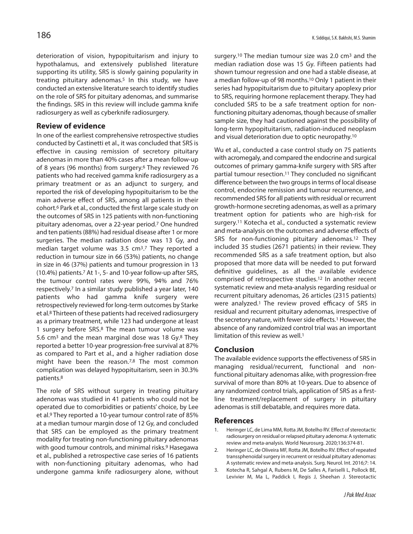deterioration of vision, hypopituitarism and injury to hypothalamus, and extensively published literature supporting its utility, SRS is slowly gaining popularity in treating pituitary adenomas.5 In this study, we have conducted an extensive literature search to identify studies on the role of SRS for pituitary adenomas, and summarise the findings. SRS in this review will include gamma knife radiosurgery as well as cyberknife radiosurgery.

### **Review of evidence**

In one of the earliest comprehensive retrospective studies conducted by Castinetti et al., it was concluded that SRS is effective in causing remission of secretory pituitary adenomas in more than 40% cases after a mean follow-up of 8 years (96 months) from surgery.6 They reviewed 76 patients who had received gamma knife radiosurgery as a primary treatment or as an adjunct to surgery, and reported the risk of developing hypopituitarism to be the main adverse effect of SRS, among all patients in their cohort. <sup>6</sup> Park et al., conducted the first large scale study on the outcomes of SRS in 125 patients with non-functioning pituitary adenomas, over a 22-year period. <sup>7</sup> One hundred and ten patients(88%) had residual disease after 1 or more surgeries. The median radiation dose was 13 Gy, and median target volume was 3.5 cm3.7 They reported a reduction in tumour size in 66 (53%) patients, no change in size in 46 (37%) patients and tumour progression in 13 (10.4%) patients. <sup>7</sup> At 1-, 5- and 10-year follow-up after SRS, the tumour control rates were 99%, 94% and 76% respectively. <sup>7</sup> In a similar study published a year later, 140 patients who had gamma knife surgery were retrospectively reviewed for long-term outcomes by Starke et al. <sup>8</sup> Thirteen of these patients had received radiosurgery as a primary treatment, while 123 had undergone at least 1 surgery before SRS.8 The mean tumour volume was 5.6 cm3 and the mean marginal dose was 18 Gy.8 They reported a better 10-year progression-free survival at 87% as compared to Part et al., and a higher radiation dose might have been the reason.7,8 The most common complication was delayed hypopituitarism, seen in 30.3% patients. 8

The role of SRS without surgery in treating pituitary adenomas was studied in 41 patients who could not be operated due to comorbidities or patients' choice, by Lee et al. <sup>9</sup> They reported a 10-year tumour control rate of 85% at a median tumour margin dose of 12 Gy, and concluded that SRS can be employed as the primary treatment modality for treating non-functioning pituitary adenomas with good tumour controls, and minimal risks. <sup>9</sup> Hasegawa et al., published a retrospective case series of 16 patients with non-functioning pituitary adenomas, who had undergone gamma knife radiosurgery alone, without surgery.10 The median tumour size was 2.0 cm3 and the median radiation dose was 15 Gy. Fifteen patients had shown tumour regression and one had a stable disease, at a median follow-up of 98 months. 10 Only 1 patient in their series had hypopituitarism due to pituitary apoplexy prior to SRS, requiring hormone replacement therapy. They had concluded SRS to be a safe treatment option for nonfunctioning pituitary adenomas, though because of smaller sample size, they had cautioned against the possibility of long-term hypopituitarism, radiation-induced neoplasm and visual deterioration due to optic neuropathy. 10

Wu et al., conducted a case control study on 75 patients with acromegaly, and compared the endocrine and surgical outcomes of primary gamma-knife surgery with SRS after partial tumour resection. <sup>11</sup> They concluded no significant difference between the two groups in terms of local disease control, endocrine remission and tumour recurrence, and recommended SRS for all patients with residual or recurrent growth-hormone secreting adenomas, as well as a primary treatment option for patients who are high-risk for surgery.11 Kotecha et al., conducted a systematic review and meta-analysis on the outcomes and adverse effects of SRS for non-functioning pituitary adenomas.12 They included 35 studies (2671 patients) in their review. They recommended SRS as a safe treatment option, but also proposed that more data will be needed to put forward definitive guidelines, as all the available evidence comprised of retrospective studies.12 In another recent systematic review and meta-analysis regarding residual or recurrent pituitary adenomas, 26 articles (2315 patients) were analyzed.1 The review proved efficacy of SRS in residual and recurrent pituitary adenomas, irrespective of the secretory nature, with fewer side effects.<sup>1</sup> However, the absence of any randomized control trial was an important limitation of this review as well. 1

### **Conclusion**

The available evidence supports the effectiveness of SRS in managing residual/recurrent, functional and nonfunctional pituitary adenomas alike, with progression-free survival of more than 80% at 10-years. Due to absence of any randomized control trials, application of SRS as a firstline treatment/replacement of surgery in pituitary adenomas is still debatable, and requires more data.

#### **References**

- 1. Heringer LC, de Lima MM, Rotta JM, Botelho RV. Effect of stereotactic radiosurgery on residual or relapsed pituitary adenoma: A systematic review and meta-analysis. World Neurosurg. 2020;136:374-81.
- 2. Heringer LC, de Oliveira MF, Rotta JM, Botelho RV. Effect of repeated transsphenoidal surgery in recurrent or residual pituitary adenomas: A systematic review and meta-analysis. Surg. Neurol. Int. 2016;7: 14.
- 3. Kotecha R, Sahgal A, Rubens M, De Salles A, Fariselli L, Pollock BE, Levivier M, Ma L, Paddick I, Regis J, Sheehan J. Stereotactic